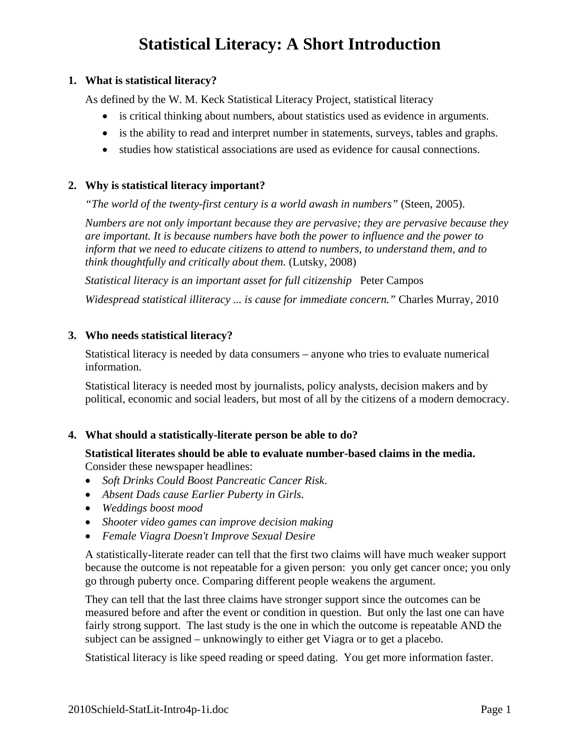# **Statistical Literacy: A Short Introduction**

#### **1. What is statistical literacy?**

As defined by the W. M. Keck Statistical Literacy Project, statistical literacy

- is critical thinking about numbers, about statistics used as evidence in arguments.
- is the ability to read and interpret number in statements, surveys, tables and graphs.
- studies how statistical associations are used as evidence for causal connections.

#### **2. Why is statistical literacy important?**

*"The world of the twenty-first century is a world awash in numbers"* (Steen, 2005).

*Numbers are not only important because they are pervasive; they are pervasive because they are important. It is because numbers have both the power to influence and the power to inform that we need to educate citizens to attend to numbers, to understand them, and to think thoughtfully and critically about them.* (Lutsky, 2008)

*Statistical literacy is an important asset for full citizenship* Peter Campos

*Widespread statistical illiteracy ... is cause for immediate concern."* Charles Murray, 2010

#### **3. Who needs statistical literacy?**

Statistical literacy is needed by data consumers – anyone who tries to evaluate numerical information.

Statistical literacy is needed most by journalists, policy analysts, decision makers and by political, economic and social leaders, but most of all by the citizens of a modern democracy.

#### **4. What should a statistically-literate person be able to do?**

#### **Statistical literates should be able to evaluate number-based claims in the media.**  Consider these newspaper headlines:

- *Soft Drinks Could Boost Pancreatic Cancer Risk*.
- *Absent Dads cause Earlier Puberty in Girls*.
- *Weddings boost mood*
- *Shooter video games can improve decision making*
- *Female Viagra Doesn't Improve Sexual Desire*

A statistically-literate reader can tell that the first two claims will have much weaker support because the outcome is not repeatable for a given person: you only get cancer once; you only go through puberty once. Comparing different people weakens the argument.

They can tell that the last three claims have stronger support since the outcomes can be measured before and after the event or condition in question. But only the last one can have fairly strong support. The last study is the one in which the outcome is repeatable AND the subject can be assigned – unknowingly to either get Viagra or to get a placebo.

Statistical literacy is like speed reading or speed dating. You get more information faster.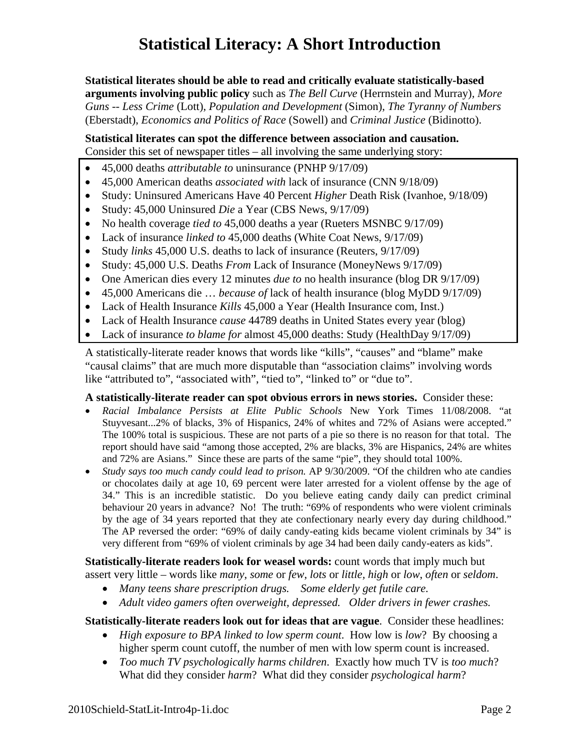# **Statistical Literacy: A Short Introduction**

**Statistical literates should be able to read and critically evaluate statistically-based arguments involving public policy** such as *The Bell Curve* (Herrnstein and Murray)*, More Guns -- Less Crime* (Lott), *Population and Development* (Simon), *The Tyranny of Numbers*  (Eberstadt), *Economics and Politics of Race* (Sowell) and *Criminal Justice* (Bidinotto).

**Statistical literates can spot the difference between association and causation.**  Consider this set of newspaper titles – all involving the same underlying story:

- 45,000 deaths *attributable to* uninsurance (PNHP 9/17/09)
- 45,000 American deaths *associated with* lack of insurance (CNN 9/18/09)
- Study: Uninsured Americans Have 40 Percent *Higher* Death Risk (Ivanhoe, 9/18/09)
- Study: 45,000 Uninsured *Die* a Year (CBS News, 9/17/09)
- No health coverage *tied to* 45,000 deaths a year (Rueters MSNBC 9/17/09)
- Lack of insurance *linked to* 45,000 deaths (White Coat News, 9/17/09)
- Study *links* 45,000 U.S. deaths to lack of insurance (Reuters, 9/17/09)
- Study: 45,000 U.S. Deaths *From* Lack of Insurance (MoneyNews 9/17/09)
- One American dies every 12 minutes *due to* no health insurance (blog DR 9/17/09)
- 45,000 Americans die … *because of* lack of health insurance (blog MyDD 9/17/09)
- Lack of Health Insurance *Kills* 45,000 a Year (Health Insurance com, Inst.)
- Lack of Health Insurance *cause* 44789 deaths in United States every year (blog)
- Lack of insurance *to blame for* almost 45,000 deaths: Study (HealthDay 9/17/09)

A statistically-literate reader knows that words like "kills", "causes" and "blame" make "causal claims" that are much more disputable than "association claims" involving words like "attributed to", "associated with", "tied to", "linked to" or "due to".

### **A statistically-literate reader can spot obvious errors in news stories.** Consider these:

- *Racial Imbalance Persists at Elite Public Schools* New York Times 11/08/2008. "at Stuyvesant...2% of blacks, 3% of Hispanics, 24% of whites and 72% of Asians were accepted." The 100% total is suspicious. These are not parts of a pie so there is no reason for that total. The report [should have said](http://www.usnews.com/blogs/on-education/2008/11/10/elite-public-high-schools-in-new-york-city-drawing-few-minorities.html) "among those accepted, 2% are blacks, 3% are Hispanics, 24% are whites and 72% are Asians." Since these are parts of the same "pie", they should total 100%.
- *Study says too much candy could lead to prison.* AP 9/30/2009. "Of the children who ate candies or chocolates daily at age 10, 69 percent were later arrested for a violent offense by the age of 34." This is an incredible statistic. Do you believe eating candy daily can predict criminal behaviour 20 years in advance? No! The truth: "69% of respondents who were violent criminals by the age of 34 years reported that they ate confectionary nearly every day during childhood." The AP reversed the order: "69% of daily candy-eating kids became violent criminals by 34" is very different from "69% of violent criminals by age 34 had been daily candy-eaters as kids".

**Statistically-literate readers look for weasel words:** count words that imply much but assert very little – words like *many*, *some* or *few*, *lots* or *little, high* or *low*, *often* or *seldom*.

- *Many teens share prescription drugs. Some elderly get futile care.*
- *Adult video gamers often overweight, depressed. Older drivers in fewer crashes.*

### **Statistically-literate readers look out for ideas that are vague**. Consider these headlines:

- *High exposure to BPA linked to low sperm count*. How low is *low*? By choosing a higher sperm count cutoff, the number of men with low sperm count is increased.
- *Too much TV psychologically harms children*. Exactly how much TV is *too much*? What did they consider *harm*? What did they consider *psychological harm*?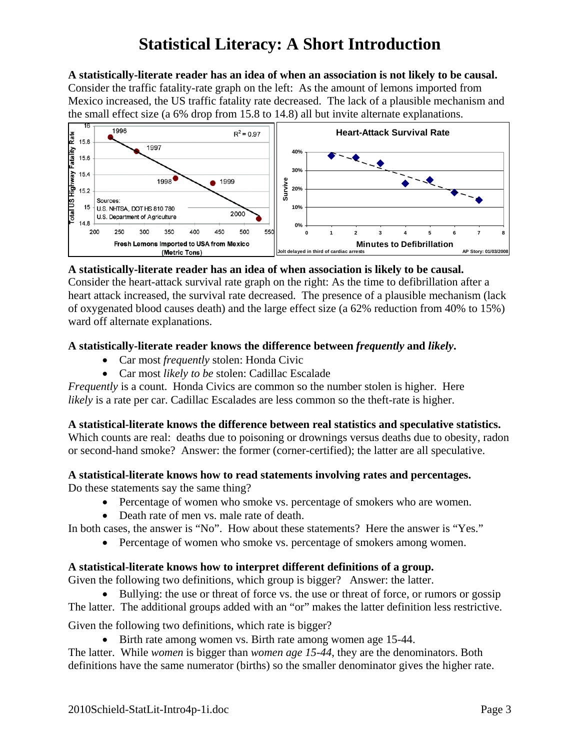## **Statistical Literacy: A Short Introduction**

**A statistically-literate reader has an idea of when an association is not likely to be causal.**  Consider the traffic fatality-rate graph on the left: As the amount of lemons imported from Mexico increased, the US traffic fatality rate decreased. The lack of a plausible mechanism and the small effect size (a 6% drop from 15.8 to 14.8) all but invite alternate explanations.



### **A statistically-literate reader has an idea of when association is likely to be causal.**

Consider the heart-attack survival rate graph on the right: As the time to defibrillation after a heart attack increased, the survival rate decreased. The presence of a plausible mechanism (lack of oxygenated blood causes death) and the large effect size (a 62% reduction from 40% to 15%) ward off alternate explanations.

### **A statistically-literate reader knows the difference between** *frequently* **and** *likely***.**

- Car most *frequently* stolen: Honda Civic
- Car most *likely to be* stolen: Cadillac Escalade

*Frequently* is a count. Honda Civics are common so the number stolen is higher. Here *likely* is a rate per car. Cadillac Escalades are less common so the theft-rate is higher.

### **A statistical-literate knows the difference between real statistics and speculative statistics.**

Which counts are real: deaths due to poisoning or drownings versus deaths due to obesity, radon or second-hand smoke? Answer: the former (corner-certified); the latter are all speculative.

### **A statistical-literate knows how to read statements involving rates and percentages.**

Do these statements say the same thing?

- Percentage of women who smoke vs. percentage of smokers who are women.
- Death rate of men vs. male rate of death.

In both cases, the answer is "No". How about these statements? Here the answer is "Yes."

• Percentage of women who smoke vs. percentage of smokers among women.

### **A statistical-literate knows how to interpret different definitions of a group.**

Given the following two definitions, which group is bigger? Answer: the latter.

 Bullying: the use or threat of force vs. the use or threat of force, or rumors or gossip The latter. The additional groups added with an "or" makes the latter definition less restrictive.

Given the following two definitions, which rate is bigger?

• Birth rate among women vs. Birth rate among women age 15-44.

The latter. While *women* is bigger than *women age 15-44*, they are the denominators. Both definitions have the same numerator (births) so the smaller denominator gives the higher rate.